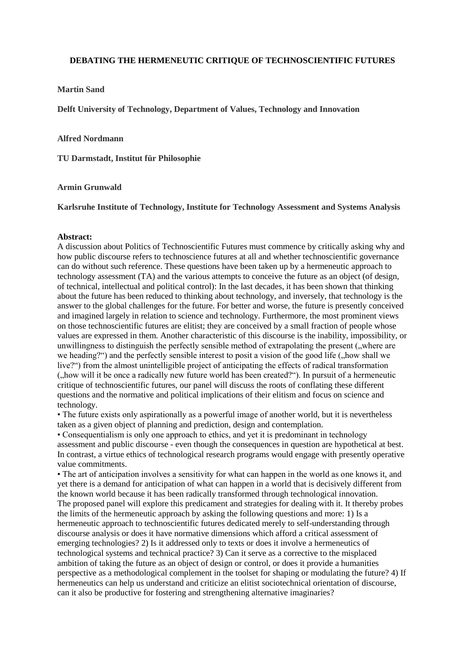# **DEBATING THE HERMENEUTIC CRITIQUE OF TECHNOSCIENTIFIC FUTURES**

## **Martin Sand**

**Delft University of Technology, Department of Values, Technology and Innovation**

#### **Alfred Nordmann**

**TU Darmstadt, Institut für Philosophie**

### **Armin Grunwald**

**Karlsruhe Institute of Technology, Institute for Technology Assessment and Systems Analysis**

#### **Abstract:**

A discussion about Politics of Technoscientific Futures must commence by critically asking why and how public discourse refers to technoscience futures at all and whether technoscientific governance can do without such reference. These questions have been taken up by a hermeneutic approach to technology assessment (TA) and the various attempts to conceive the future as an object (of design, of technical, intellectual and political control): In the last decades, it has been shown that thinking about the future has been reduced to thinking about technology, and inversely, that technology is the answer to the global challenges for the future. For better and worse, the future is presently conceived and imagined largely in relation to science and technology. Furthermore, the most prominent views on those technoscientific futures are elitist; they are conceived by a small fraction of people whose values are expressed in them. Another characteristic of this discourse is the inability, impossibility, or unwillingness to distinguish the perfectly sensible method of extrapolating the present ("where are we heading?") and the perfectly sensible interest to posit a vision of the good life (, how shall we live?") from the almost unintelligible project of anticipating the effects of radical transformation ("how will it be once a radically new future world has been created?"). In pursuit of a hermeneutic critique of technoscientific futures, our panel will discuss the roots of conflating these different questions and the normative and political implications of their elitism and focus on science and technology.

• The future exists only aspirationally as a powerful image of another world, but it is nevertheless taken as a given object of planning and prediction, design and contemplation.

• Consequentialism is only one approach to ethics, and yet it is predominant in technology assessment and public discourse - even though the consequences in question are hypothetical at best. In contrast, a virtue ethics of technological research programs would engage with presently operative value commitments.

• The art of anticipation involves a sensitivity for what can happen in the world as one knows it, and yet there is a demand for anticipation of what can happen in a world that is decisively different from the known world because it has been radically transformed through technological innovation. The proposed panel will explore this predicament and strategies for dealing with it. It thereby probes the limits of the hermeneutic approach by asking the following questions and more: 1) Is a hermeneutic approach to technoscientific futures dedicated merely to self-understanding through discourse analysis or does it have normative dimensions which afford a critical assessment of emerging technologies? 2) Is it addressed only to texts or does it involve a hermeneutics of technological systems and technical practice? 3) Can it serve as a corrective to the misplaced ambition of taking the future as an object of design or control, or does it provide a humanities perspective as a methodological complement in the toolset for shaping or modulating the future? 4) If hermeneutics can help us understand and criticize an elitist sociotechnical orientation of discourse, can it also be productive for fostering and strengthening alternative imaginaries?